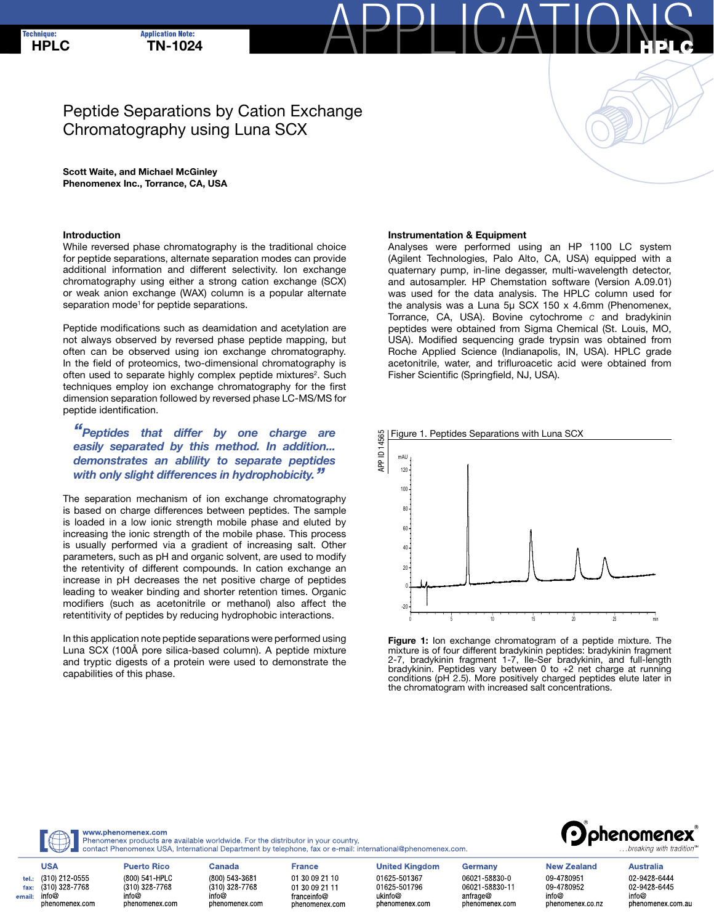# Peptide Separations by Cation Exchange Chromatography using Luna SCX

Scott Waite, and Michael McGinley Phenomenex Inc., Torrance, CA, USA

## Introduction

While reversed phase chromatography is the traditional choice for peptide separations, alternate separation modes can provide additional information and different selectivity. Ion exchange chromatography using either a strong cation exchange (SCX) or weak anion exchange (WAX) column is a popular alternate separation mode<sup>1</sup> for peptide separations.

Peptide modifications such as deamidation and acetylation are not always observed by reversed phase peptide mapping, but often can be observed using ion exchange chromatography. In the field of proteomics, two-dimensional chromatography is often used to separate highly complex peptide mixtures<sup>2</sup>. Such techniques employ ion exchange chromatography for the first dimension separation followed by reversed phase LC-MS/MS for peptide identification.

"Peptides that differ by one charge are easily separated by this method. In addition... demonstrates an ablility to separate peptides with only slight differences in hydrophobicity.<sup>"</sup>

The separation mechanism of ion exchange chromatography is based on charge differences between peptides. The sample is loaded in a low ionic strength mobile phase and eluted by increasing the ionic strength of the mobile phase. This process is usually performed via a gradient of increasing salt. Other parameters, such as pH and organic solvent, are used to modify the retentivity of different compounds. In cation exchange an increase in pH decreases the net positive charge of peptides leading to weaker binding and shorter retention times. Organic modifiers (such as acetonitrile or methanol) also affect the retentitivity of peptides by reducing hydrophobic interactions.

In this application note peptide separations were performed using Luna SCX (100Å pore silica-based column). A peptide mixture and tryptic digests of a protein were used to demonstrate the capabilities of this phase.

#### Instrumentation & Equipment

Analyses were performed using an HP 1100 LC system (Agilent Technologies, Palo Alto, CA, USA) equipped with a quaternary pump, in-line degasser, multi-wavelength detector, and autosampler. HP Chemstation software (Version A.09.01) was used for the data analysis. The HPLC column used for the analysis was a Luna 5µ SCX 150 x 4.6mm (Phenomenex, Torrance, CA, USA). Bovine cytochrome c and bradykinin peptides were obtained from Sigma Chemical (St. Louis, MO, USA). Modified sequencing grade trypsin was obtained from Roche Applied Science (Indianapolis, IN, USA). HPLC grade acetonitrile, water, and trifluroacetic acid were obtained from Fisher Scientific (Springfield, NJ, USA).





Figure 1: Ion exchange chromatogram of a peptide mixture. The mixture is of four different bradykinin peptides: bradykinin fragment 2-7, bradykinin fragment 1-7, Ile-Ser bradykinin, and full-length bradykinin. Peptides vary between 0 to +2 net charge at running conditions (pH 2.5). More positively charged peptides elute later in the chromatogram with increased salt concentrations.



www.phenomenex.com

Phenomenex products are available worldwide. For the distributor in your country, contact Phenomenex USA, International Department by telephone, fax or e-mail: international@phenomenex.com.

**USA** (310) 212-0555  $tel.$ (310) 328-7768 fax: email: info@ phenomenex.com **Puerto Rico** (800) 541-HPLC  $(310)$  328-7768 info@ phenomenex.com

Canada (800) 543-3681 (310) 328-7768 info@ phenomenex.com

**France** 01 30 09 21 10 01 30 09 21 11 franceinfo@ phenomenex com **United Kingdom** 01625-501367 01625-501796 ukinfo@ phenomenex.com

Germany 06021-58830-0 06021-58830-11 anfrage@ phenomenex.com **New Zealand** 09-4780951 09-4780952 info@ phenomenex.co.nz

**Australia** 02-9428-6444 02-9428-6445 info@ phenomenex.com.au

. breaking with tradition

**ohenomenex**